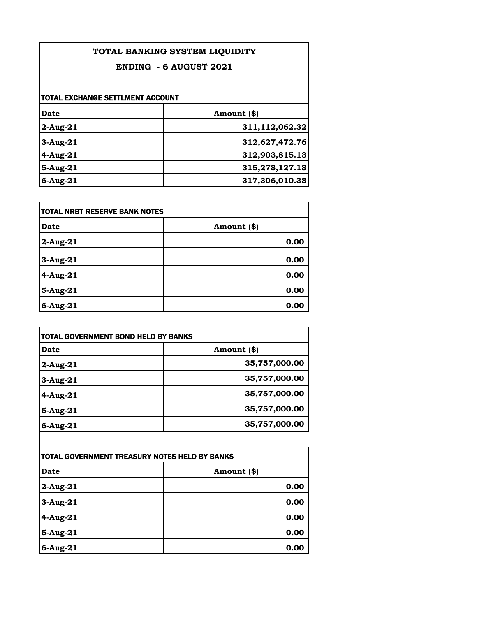| TOTAL BANKING SYSTEM LIQUIDITY   |                               |  |
|----------------------------------|-------------------------------|--|
|                                  | <b>ENDING - 6 AUGUST 2021</b> |  |
|                                  |                               |  |
| TOTAL EXCHANGE SETTLMENT ACCOUNT |                               |  |
| Date                             | Amount (\$)                   |  |
| $2$ -Aug- $21$                   | 311,112,062.32                |  |
| $3-Aug-21$                       | 312,627,472.76                |  |
| $4-Aug-21$                       | 312,903,815.13                |  |
| 5-Aug-21                         | 315,278,127.18                |  |
| $6$ -Aug-21                      | 317,306,010.38                |  |

| <b>TOTAL NRBT RESERVE BANK NOTES</b> |             |
|--------------------------------------|-------------|
| <b>Date</b>                          | Amount (\$) |
| $2$ -Aug-21                          | 0.00        |
| 3-Aug-21                             | 0.00        |
| 4-Aug-21                             | 0.00        |
| $5-Aug-21$                           | 0.00        |
| $6$ -Aug-21                          | 0.00        |

| <b>TOTAL GOVERNMENT BOND HELD BY BANKS</b> |               |
|--------------------------------------------|---------------|
| Date                                       | Amount (\$)   |
| 2-Aug-21                                   | 35,757,000.00 |
| $3$ -Aug-21                                | 35,757,000.00 |
| $4$ -Aug-21                                | 35,757,000.00 |
| 5-Aug-21                                   | 35,757,000.00 |
| $6$ -Aug-21                                | 35,757,000.00 |

| TOTAL GOVERNMENT TREASURY NOTES HELD BY BANKS |             |
|-----------------------------------------------|-------------|
| <b>Date</b>                                   | Amount (\$) |
| $2$ -Aug-21                                   | 0.00        |
| $3-Aug-21$                                    | 0.00        |
| 4-Aug-21                                      | 0.00        |
| 5-Aug-21                                      | 0.00        |
| $6$ -Aug-21                                   | 0.00        |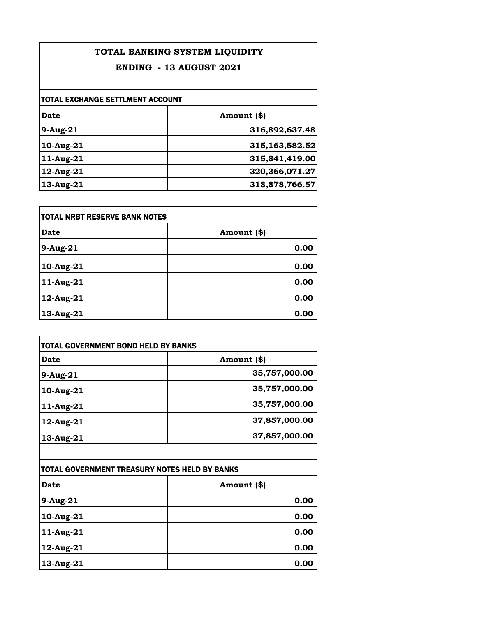| TOTAL BANKING SYSTEM LIQUIDITY<br><b>ENDING - 13 AUGUST 2021</b> |                   |
|------------------------------------------------------------------|-------------------|
|                                                                  |                   |
| TOTAL EXCHANGE SETTLMENT ACCOUNT                                 |                   |
| Date                                                             | Amount (\$)       |
| $9-Aug-21$                                                       | 316,892,637.48    |
| $10$ -Aug- $21$                                                  | 315,163,582.52    |
| 11-Aug-21                                                        | 315,841,419.00    |
| 12-Aug-21                                                        | 320, 366, 071. 27 |
| 13-Aug-21                                                        | 318,878,766.57    |

| <b>TOTAL NRBT RESERVE BANK NOTES</b> |             |
|--------------------------------------|-------------|
| <b>Date</b>                          | Amount (\$) |
| 9-Aug-21                             | 0.00        |
| 10-Aug-21                            | 0.00        |
| 11-Aug-21                            | 0.00        |
| 12-Aug-21                            | 0.00        |
| $13$ -Aug-21                         | 0.00        |

| <b>TOTAL GOVERNMENT BOND HELD BY BANKS</b> |  |
|--------------------------------------------|--|
| Amount (\$)                                |  |
| 35,757,000.00                              |  |
| 35,757,000.00                              |  |
| 35,757,000.00                              |  |
| 37,857,000.00                              |  |
| 37,857,000.00                              |  |
|                                            |  |

| TOTAL GOVERNMENT TREASURY NOTES HELD BY BANKS |             |
|-----------------------------------------------|-------------|
| <b>Date</b>                                   | Amount (\$) |
| $9-Aug-21$                                    | 0.00        |
| 10-Aug-21                                     | 0.00        |
| 11-Aug-21                                     | 0.00        |
| 12-Aug-21                                     | 0.00        |
| 13-Aug-21                                     | 0.00        |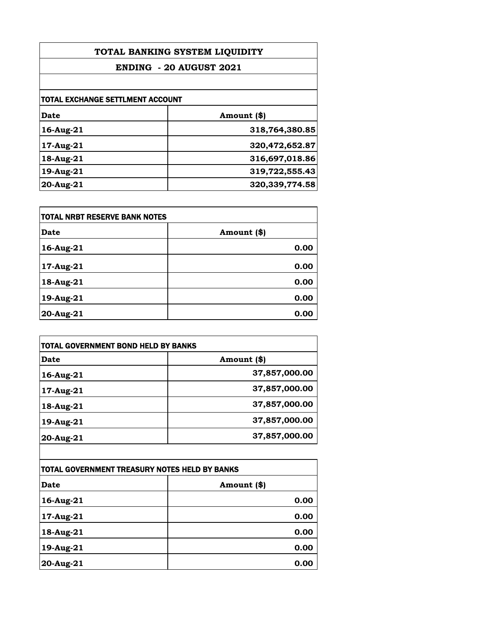| TOTAL BANKING SYSTEM LIQUIDITY   |                  |
|----------------------------------|------------------|
| <b>ENDING - 20 AUGUST 2021</b>   |                  |
|                                  |                  |
| TOTAL EXCHANGE SETTLMENT ACCOUNT |                  |
| <b>Date</b>                      | Amount (\$)      |
| 16-Aug-21                        | 318,764,380.85   |
| $17$ -Aug- $21$                  | 320,472,652.87   |
| 18-Aug-21                        | 316,697,018.86   |
| 19-Aug-21                        | 319,722,555.43   |
| 20-Aug-21                        | 320, 339, 774.58 |

| <b>TOTAL NRBT RESERVE BANK NOTES</b> |             |
|--------------------------------------|-------------|
| <b>Date</b>                          | Amount (\$) |
| 16-Aug-21                            | 0.00        |
| 17-Aug-21                            | 0.00        |
| 18-Aug-21                            | 0.00        |
| 19-Aug-21                            | 0.00        |
| 20-Aug-21                            | 0.00        |

| <b>TOTAL GOVERNMENT BOND HELD BY BANKS</b> |               |
|--------------------------------------------|---------------|
| Date                                       | Amount (\$)   |
| 16-Aug-21                                  | 37,857,000.00 |
| 17-Aug-21                                  | 37,857,000.00 |
| 18-Aug-21                                  | 37,857,000.00 |
| 19-Aug-21                                  | 37,857,000.00 |
| 20-Aug-21                                  | 37,857,000.00 |

| TOTAL GOVERNMENT TREASURY NOTES HELD BY BANKS |             |
|-----------------------------------------------|-------------|
| Date                                          | Amount (\$) |
| 16-Aug-21                                     | 0.00        |
| 17-Aug-21                                     | 0.00        |
| $18$ -Aug-21                                  | 0.00        |
| 19-Aug-21                                     | 0.00        |
| 20-Aug-21                                     | 0.00        |